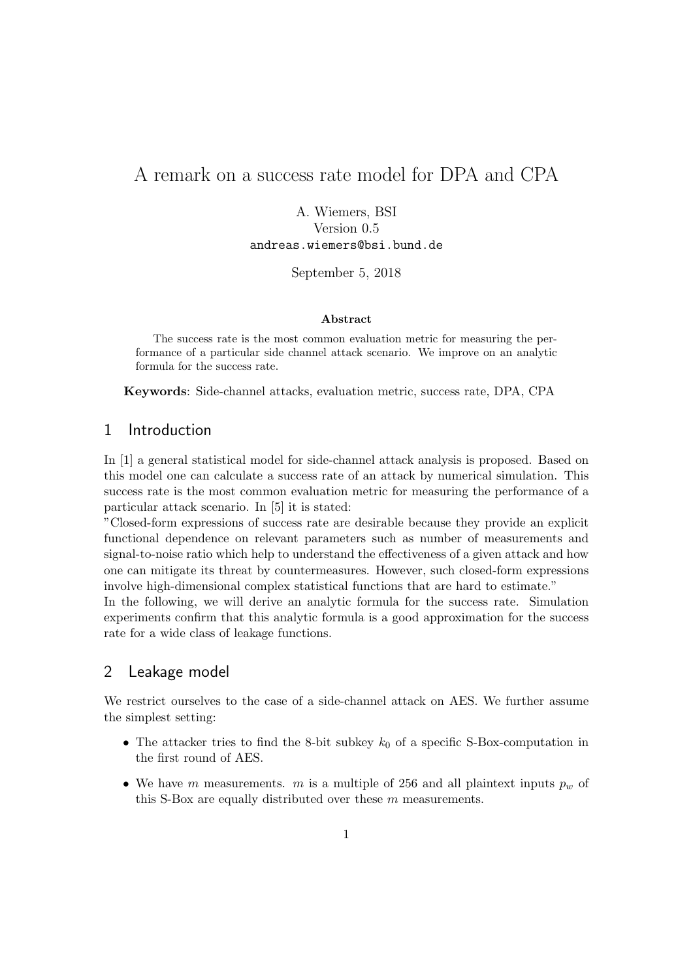# A remark on a success rate model for DPA and CPA

A. Wiemers, BSI Version 0.5 andreas.wiemers@bsi.bund.de

September 5, 2018

#### Abstract

The success rate is the most common evaluation metric for measuring the performance of a particular side channel attack scenario. We improve on an analytic formula for the success rate.

Keywords: Side-channel attacks, evaluation metric, success rate, DPA, CPA

# 1 Introduction

In [1] a general statistical model for side-channel attack analysis is proposed. Based on this model one can calculate a success rate of an attack by numerical simulation. This success rate is the most common evaluation metric for measuring the performance of a particular attack scenario. In [5] it is stated:

"Closed-form expressions of success rate are desirable because they provide an explicit functional dependence on relevant parameters such as number of measurements and signal-to-noise ratio which help to understand the effectiveness of a given attack and how one can mitigate its threat by countermeasures. However, such closed-form expressions involve high-dimensional complex statistical functions that are hard to estimate."

In the following, we will derive an analytic formula for the success rate. Simulation experiments confirm that this analytic formula is a good approximation for the success rate for a wide class of leakage functions.

# 2 Leakage model

We restrict ourselves to the case of a side-channel attack on AES. We further assume the simplest setting:

- The attacker tries to find the 8-bit subkey  $k_0$  of a specific S-Box-computation in the first round of AES.
- We have m measurements. m is a multiple of 256 and all plaintext inputs  $p_w$  of this S-Box are equally distributed over these m measurements.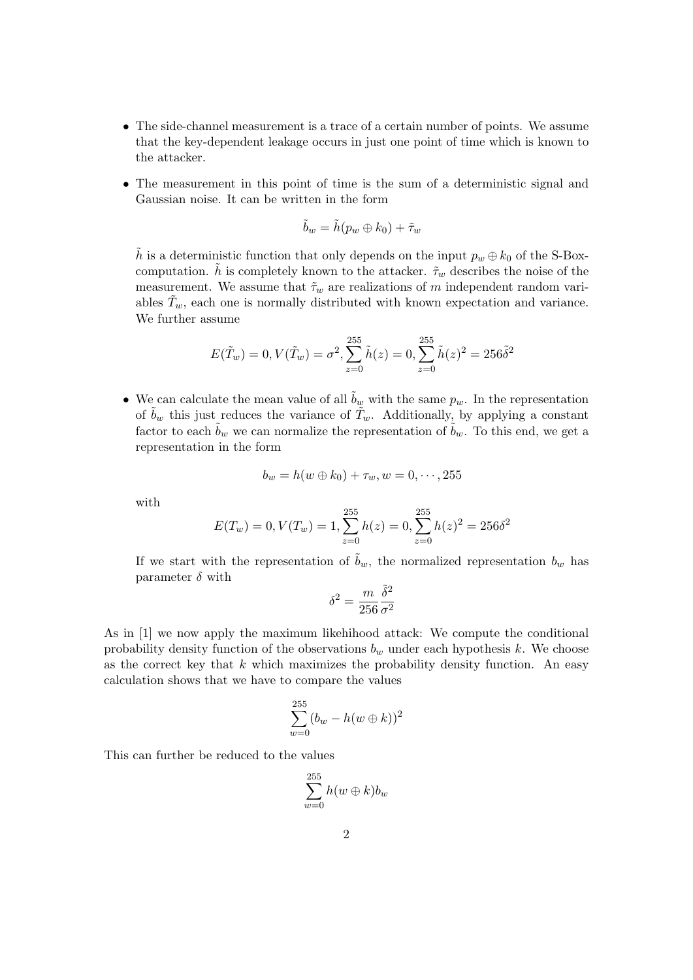- The side-channel measurement is a trace of a certain number of points. We assume that the key-dependent leakage occurs in just one point of time which is known to the attacker.
- The measurement in this point of time is the sum of a deterministic signal and Gaussian noise. It can be written in the form

$$
\tilde{b}_w = \tilde{h}(p_w \oplus k_0) + \tilde{\tau}_w
$$

h is a deterministic function that only depends on the input  $p_w \oplus k_0$  of the S-Boxcomputation. h is completely known to the attacker.  $\tilde{\tau}_w$  describes the noise of the measurement. We assume that  $\tilde{\tau}_w$  are realizations of m independent random variables  $T_w$ , each one is normally distributed with known expectation and variance. We further assume

$$
E(\tilde{T}_w) = 0, V(\tilde{T}_w) = \sigma^2, \sum_{z=0}^{255} \tilde{h}(z) = 0, \sum_{z=0}^{255} \tilde{h}(z)^2 = 256\tilde{\delta}^2
$$

• We can calculate the mean value of all  $b_w$  with the same  $p_w$ . In the representation of  $b_w$  this just reduces the variance of  $\tilde{T}_w$ . Additionally, by applying a constant factor to each  $b_w$  we can normalize the representation of  $b_w$ . To this end, we get a representation in the form

$$
b_w = h(w \oplus k_0) + \tau_w, w = 0, \cdots, 255
$$

with

$$
E(T_w) = 0, V(T_w) = 1, \sum_{z=0}^{255} h(z) = 0, \sum_{z=0}^{255} h(z)^2 = 256\delta^2
$$

If we start with the representation of  $\tilde{b}_w$ , the normalized representation  $b_w$  has parameter  $\delta$  with

$$
\delta^2 = \frac{m}{256} \frac{\tilde{\delta}^2}{\sigma^2}
$$

As in [1] we now apply the maximum likehihood attack: We compute the conditional probability density function of the observations  $b_w$  under each hypothesis k. We choose as the correct key that  $k$  which maximizes the probability density function. An easy calculation shows that we have to compare the values

$$
\sum_{w=0}^{255} (b_w - h(w \oplus k))^2
$$

This can further be reduced to the values

$$
\sum_{w=0}^{255} h(w \oplus k) b_w
$$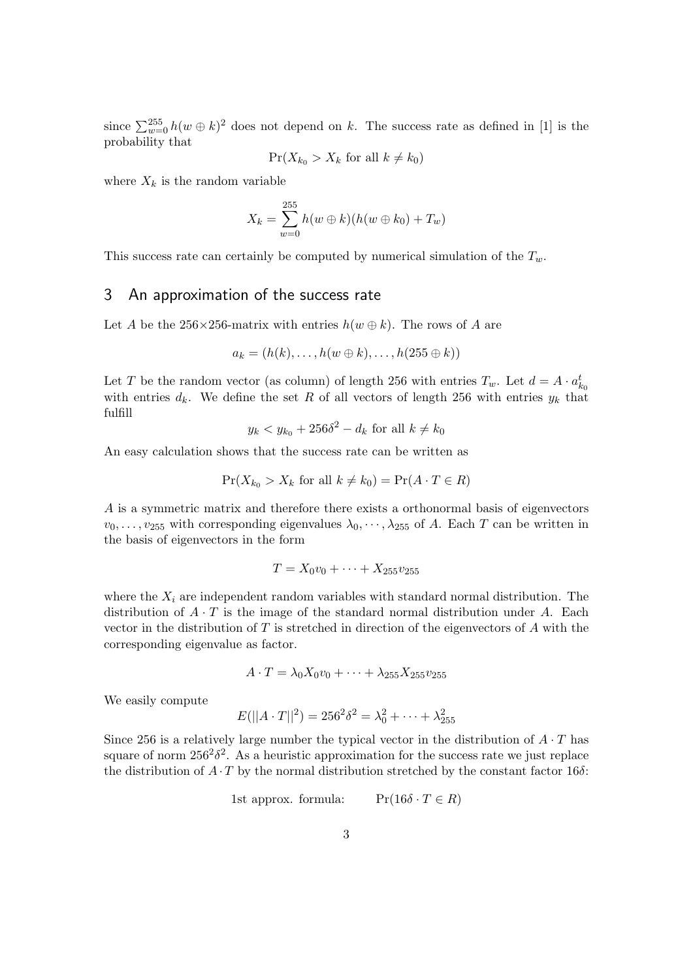since  $\sum_{w=0}^{255} h(w \oplus k)^2$  does not depend on k. The success rate as defined in [1] is the probability that

$$
\Pr(X_{k_0} > X_k \text{ for all } k \neq k_0)
$$

where  $X_k$  is the random variable

$$
X_k = \sum_{w=0}^{255} h(w \oplus k)(h(w \oplus k_0) + T_w)
$$

This success rate can certainly be computed by numerical simulation of the  $T_w$ .

### 3 An approximation of the success rate

Let A be the 256×256-matrix with entries  $h(w \oplus k)$ . The rows of A are

$$
a_k = (h(k), \ldots, h(w \oplus k), \ldots, h(255 \oplus k))
$$

Let T be the random vector (as column) of length 256 with entries  $T_w$ . Let  $d = A \cdot a_{k_0}^t$ with entries  $d_k$ . We define the set R of all vectors of length 256 with entries  $y_k$  that fulfill

$$
y_k < y_{k_0} + 256\delta^2 - d_k \text{ for all } k \neq k_0
$$

An easy calculation shows that the success rate can be written as

$$
\Pr(X_{k_0} > X_k \text{ for all } k \neq k_0) = \Pr(A \cdot T \in R)
$$

A is a symmetric matrix and therefore there exists a orthonormal basis of eigenvectors  $v_0, \ldots, v_{255}$  with corresponding eigenvalues  $\lambda_0, \cdots, \lambda_{255}$  of A. Each T can be written in the basis of eigenvectors in the form

$$
T = X_0v_0 + \cdots + X_{255}v_{255}
$$

where the  $X_i$  are independent random variables with standard normal distribution. The distribution of  $A \cdot T$  is the image of the standard normal distribution under A. Each vector in the distribution of  $T$  is stretched in direction of the eigenvectors of  $A$  with the corresponding eigenvalue as factor.

$$
A \cdot T = \lambda_0 X_0 v_0 + \dots + \lambda_{255} X_{255} v_{255}
$$

We easily compute

$$
E(||A \cdot T||^2) = 256^2 \delta^2 = \lambda_0^2 + \dots + \lambda_{255}^2
$$

Since 256 is a relatively large number the typical vector in the distribution of  $A \cdot T$  has square of norm  $256^2\delta^2$ . As a heuristic approximation for the success rate we just replace the distribution of  $A \cdot T$  by the normal distribution stretched by the constant factor 16 $\delta$ :

1st approx. formula: 
$$
Pr(16\delta \cdot T \in R)
$$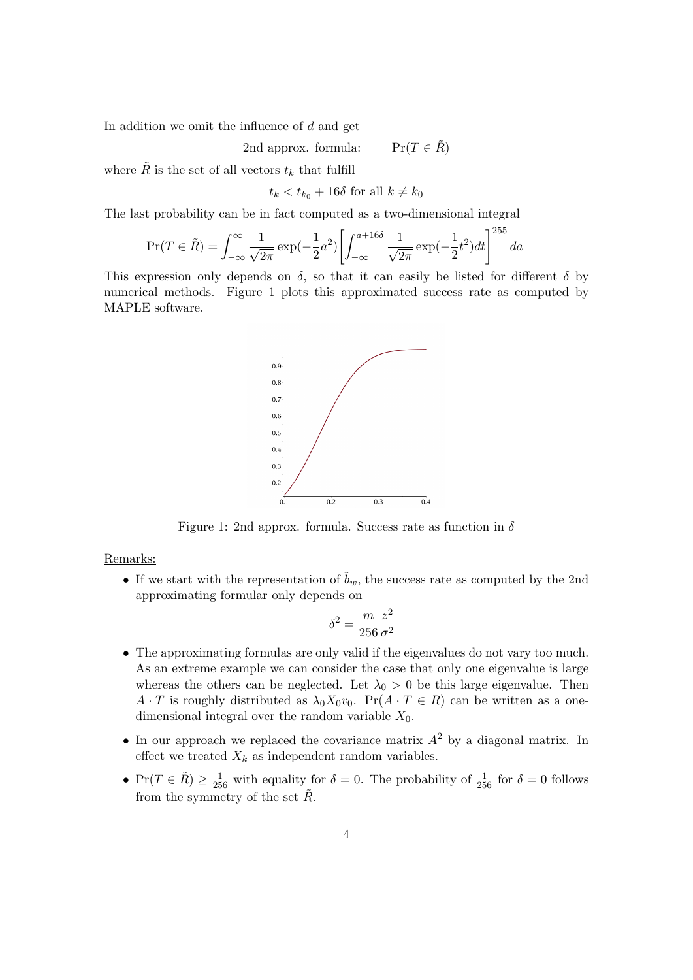In addition we omit the influence of  $d$  and get

2nd approx. formula:  $\Pr(T \in \tilde{R})$ 

where  $\tilde{R}$  is the set of all vectors  $t_k$  that fulfill

$$
t_k < t_{k_0} + 16\delta \text{ for all } k \neq k_0
$$

The last probability can be in fact computed as a two-dimensional integral

$$
\Pr(T \in \tilde{R}) = \int_{-\infty}^{\infty} \frac{1}{\sqrt{2\pi}} \exp(-\frac{1}{2}a^2) \left[ \int_{-\infty}^{a+16\delta} \frac{1}{\sqrt{2\pi}} \exp(-\frac{1}{2}t^2) dt \right]^{255} da
$$

This expression only depends on  $\delta$ , so that it can easily be listed for different  $\delta$  by numerical methods. Figure 1 plots this approximated success rate as computed by MAPLE software.



Figure 1: 2nd approx. formula. Success rate as function in  $\delta$ 

#### Remarks:

• If we start with the representation of  $\tilde{b}_w$ , the success rate as computed by the 2nd approximating formular only depends on

$$
\delta^2 = \frac{m}{256} \frac{z^2}{\sigma^2}
$$

- The approximating formulas are only valid if the eigenvalues do not vary too much. As an extreme example we can consider the case that only one eigenvalue is large whereas the others can be neglected. Let  $\lambda_0 > 0$  be this large eigenvalue. Then  $A \cdot T$  is roughly distributed as  $\lambda_0 X_0 v_0$ . Pr $(A \cdot T \in R)$  can be written as a onedimensional integral over the random variable  $X_0$ .
- In our approach we replaced the covariance matrix  $A^2$  by a diagonal matrix. In effect we treated  $X_k$  as independent random variables.
- $Pr(T \in \tilde{R}) \ge \frac{1}{256}$  with equality for  $\delta = 0$ . The probability of  $\frac{1}{256}$  for  $\delta = 0$  follows from the symmetry of the set  $\tilde{R}$ .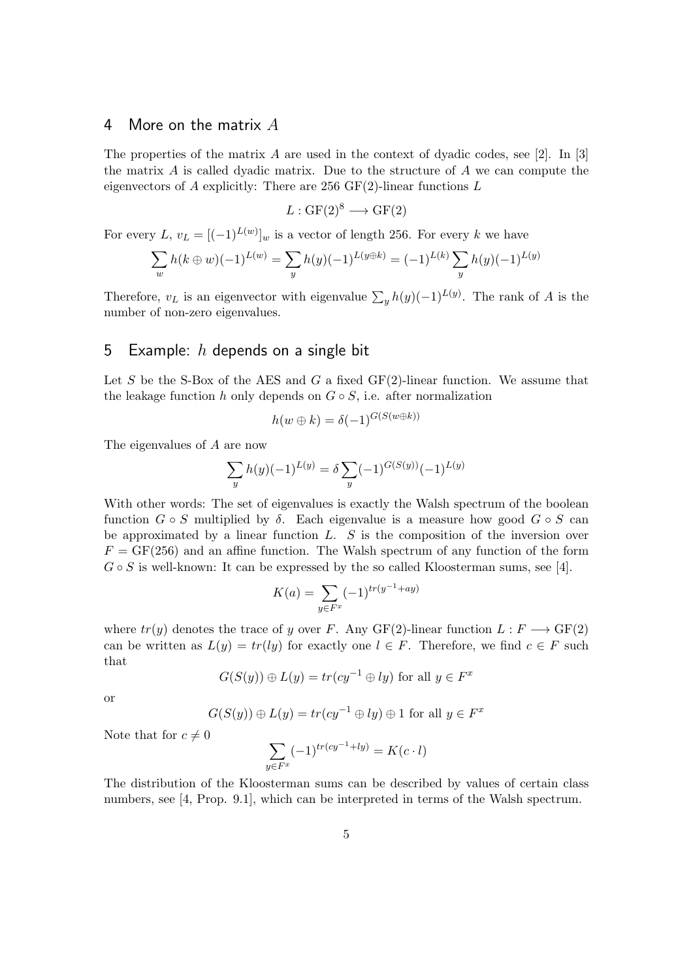## 4 More on the matrix  $A$

The properties of the matrix A are used in the context of dyadic codes, see [2]. In [3] the matrix  $A$  is called dyadic matrix. Due to the structure of  $A$  we can compute the eigenvectors of A explicitly: There are 256  $GF(2)$ -linear functions L

$$
L: GF(2)^8 \longrightarrow GF(2)
$$

For every L,  $v_L = [(-1)^{L(w)}]_w$  is a vector of length 256. For every k we have

$$
\sum_{w} h(k \oplus w)(-1)^{L(w)} = \sum_{y} h(y)(-1)^{L(y \oplus k)} = (-1)^{L(k)} \sum_{y} h(y)(-1)^{L(y)}
$$

Therefore,  $v_L$  is an eigenvector with eigenvalue  $\sum_{y} h(y)(-1)^{L(y)}$ . The rank of A is the number of non-zero eigenvalues.

# 5 Example:  $h$  depends on a single bit

Let S be the S-Box of the AES and G a fixed  $GF(2)$ -linear function. We assume that the leakage function h only depends on  $G \circ S$ , i.e. after normalization

$$
h(w \oplus k) = \delta(-1)^{G(S(w \oplus k))}
$$

The eigenvalues of A are now

$$
\sum_{y} h(y)(-1)^{L(y)} = \delta \sum_{y} (-1)^{G(S(y))} (-1)^{L(y)}
$$

With other words: The set of eigenvalues is exactly the Walsh spectrum of the boolean function  $G \circ S$  multiplied by  $\delta$ . Each eigenvalue is a measure how good  $G \circ S$  can be approximated by a linear function  $L$ .  $S$  is the composition of the inversion over  $F = GF(256)$  and an affine function. The Walsh spectrum of any function of the form  $G \circ S$  is well-known: It can be expressed by the so called Kloosterman sums, see [4].

$$
K(a) = \sum_{y \in F^x} (-1)^{tr(y^{-1} + ay)}
$$

where  $tr(y)$  denotes the trace of y over F. Any GF(2)-linear function  $L : F \longrightarrow GF(2)$ can be written as  $L(y) = tr(ly)$  for exactly one  $l \in F$ . Therefore, we find  $c \in F$  such that

$$
G(S(y)) \oplus L(y) = tr(c y^{-1} \oplus ly) \text{ for all } y \in F^x
$$

or

$$
G(S(y)) \oplus L(y) = tr(cy^{-1} \oplus ly) \oplus 1 \text{ for all } y \in F^x
$$

Note that for  $c \neq 0$ 

$$
\sum_{y \in F^x} (-1)^{tr(cy^{-1}+ly)} = K(c \cdot l)
$$

The distribution of the Kloosterman sums can be described by values of certain class numbers, see [4, Prop. 9.1], which can be interpreted in terms of the Walsh spectrum.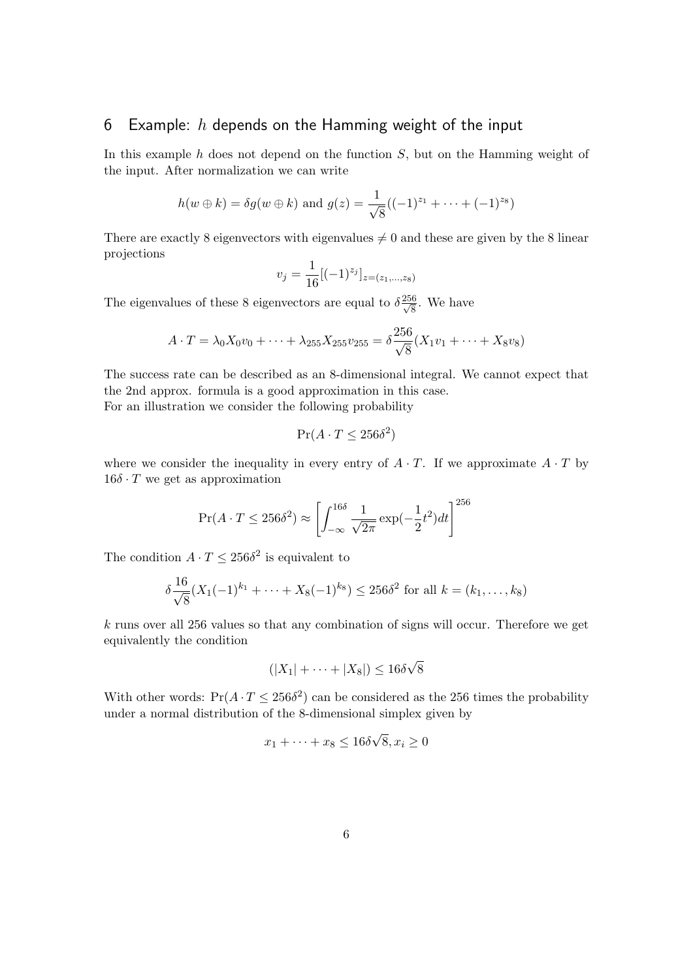# 6 Example:  $h$  depends on the Hamming weight of the input

In this example  $h$  does not depend on the function  $S$ , but on the Hamming weight of the input. After normalization we can write

$$
h(w \oplus k) = \delta g(w \oplus k)
$$
 and  $g(z) = \frac{1}{\sqrt{8}}((-1)^{z_1} + \cdots + (-1)^{z_8})$ 

There are exactly 8 eigenvectors with eigenvalues  $\neq 0$  and these are given by the 8 linear projections

$$
v_j = \frac{1}{16} [(-1)^{z_j}]_{z=(z_1,\ldots,z_8)}
$$

The eigenvalues of these 8 eigenvectors are equal to  $\delta \frac{256}{\sqrt{8}}$ . We have

$$
A \cdot T = \lambda_0 X_0 v_0 + \dots + \lambda_{255} X_{255} v_{255} = \delta \frac{256}{\sqrt{8}} (X_1 v_1 + \dots + X_8 v_8)
$$

The success rate can be described as an 8-dimensional integral. We cannot expect that the 2nd approx. formula is a good approximation in this case. For an illustration we consider the following probability

$$
\Pr(A \cdot T \le 256\delta^2)
$$

where we consider the inequality in every entry of  $A \cdot T$ . If we approximate  $A \cdot T$  by  $16\delta \cdot T$  we get as approximation

$$
\Pr(A \cdot T \le 256\delta^2) \approx \left[ \int_{-\infty}^{16\delta} \frac{1}{\sqrt{2\pi}} \exp(-\frac{1}{2}t^2) dt \right]^{256}
$$

The condition  $A \cdot T \leq 256\delta^2$  is equivalent to

$$
\delta \frac{16}{\sqrt{8}} (X_1(-1)^{k_1} + \dots + X_8(-1)^{k_8}) \le 256\delta^2
$$
 for all  $k = (k_1, \dots, k_8)$ 

k runs over all 256 values so that any combination of signs will occur. Therefore we get equivalently the condition

$$
(|X_1| + \cdots + |X_8|) \le 16\delta\sqrt{8}
$$

With other words:  $Pr(A \cdot T \le 256\delta^2)$  can be considered as the 256 times the probability under a normal distribution of the 8-dimensional simplex given by

$$
x_1 + \dots + x_8 \le 16\delta\sqrt{8}, x_i \ge 0
$$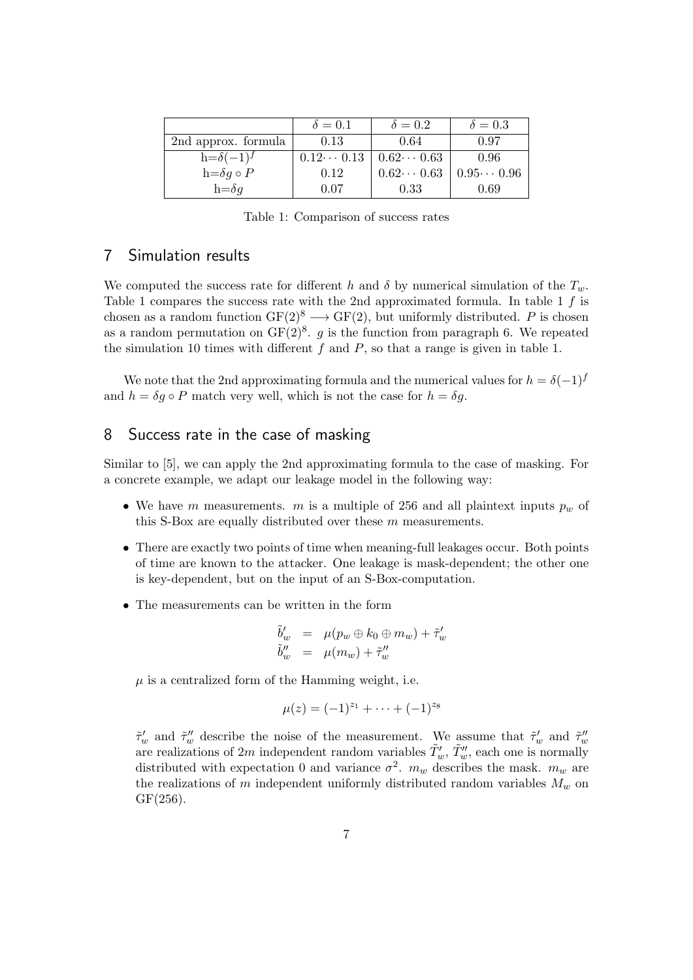|                        | $\delta = 0.1$                        | $\delta = 0.2$    | $\delta = 0.3$     |
|------------------------|---------------------------------------|-------------------|--------------------|
| 2nd approx. formula    | 0.13                                  | 0.64              | 0.97               |
| $h = \delta(-1)^f$     | $0.12\cdots 0.13$   $0.62\cdots 0.63$ |                   | 0.96               |
| $h = \delta g \circ P$ | 0.12                                  | $0.62\cdots 0.63$ | $0.95 \cdots 0.96$ |
| $h = \delta q$         | 0.07                                  | 0.33              | 0.69               |

Table 1: Comparison of success rates

# 7 Simulation results

We computed the success rate for different h and  $\delta$  by numerical simulation of the  $T_w$ . Table 1 compares the success rate with the 2nd approximated formula. In table 1  $f$  is chosen as a random function  $GF(2)^8 \longrightarrow GF(2)$ , but uniformly distributed. P is chosen as a random permutation on  $GF(2)^8$ . g is the function from paragraph 6. We repeated the simulation 10 times with different  $f$  and  $P$ , so that a range is given in table 1.

We note that the 2nd approximating formula and the numerical values for  $h = \delta(-1)^f$ and  $h = \delta g \circ P$  match very well, which is not the case for  $h = \delta g$ .

# 8 Success rate in the case of masking

Similar to [5], we can apply the 2nd approximating formula to the case of masking. For a concrete example, we adapt our leakage model in the following way:

- We have m measurements. m is a multiple of 256 and all plaintext inputs  $p_w$  of this S-Box are equally distributed over these  $m$  measurements.
- There are exactly two points of time when meaning-full leakages occur. Both points of time are known to the attacker. One leakage is mask-dependent; the other one is key-dependent, but on the input of an S-Box-computation.
- The measurements can be written in the form

$$
\begin{array}{rcl}\n\tilde{b}'_w & = & \mu(p_w \oplus k_0 \oplus m_w) + \tilde{\tau}'_w \\
\tilde{b}''_w & = & \mu(m_w) + \tilde{\tau}''_w\n\end{array}
$$

 $\mu$  is a centralized form of the Hamming weight, i.e.

$$
\mu(z) = (-1)^{z_1} + \cdots + (-1)^{z_8}
$$

 $\tilde{\tau}'_w$  and  $\tilde{\tau}''_w$  describe the noise of the measurement. We assume that  $\tilde{\tau}'_w$  and  $\tilde{\tau}''_w$  are realizations of 2m independent random variables  $\tilde{T}'_w$ ,  $\tilde{T}''_w$ , each one is normally distributed with expectation 0 and variance  $\sigma^2$ .  $m_w$  describes the mask.  $m_w$  are the realizations of m independent uniformly distributed random variables  $M_w$  on GF(256).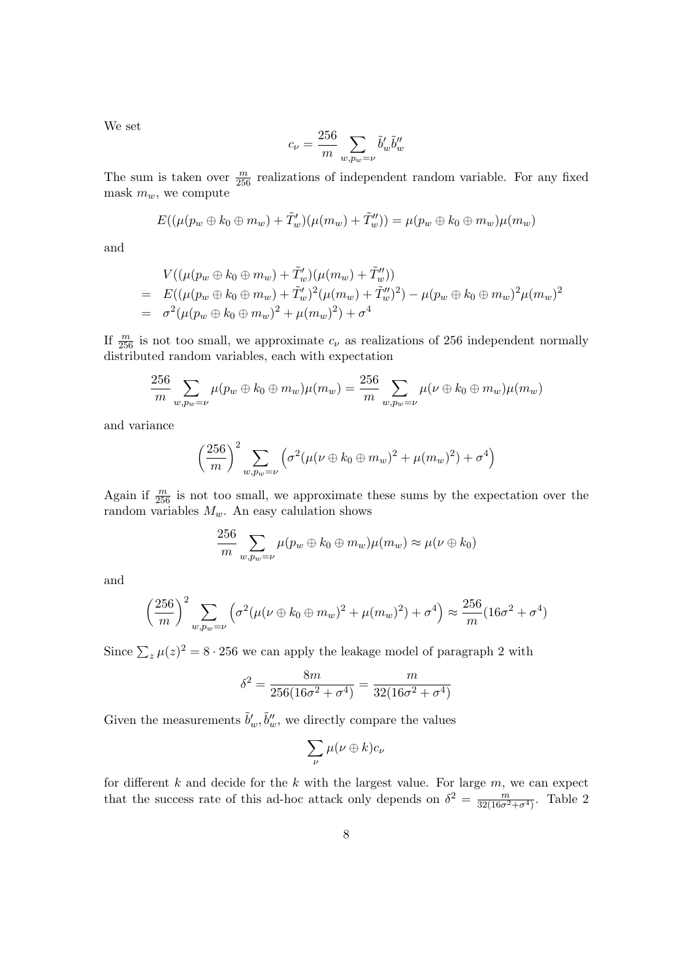We set

$$
c_{\nu} = \frac{256}{m} \sum_{w, p_w = \nu} \tilde{b}'_w \tilde{b}''_w
$$

The sum is taken over  $\frac{m}{256}$  realizations of independent random variable. For any fixed mask  $m_w$ , we compute

$$
E((\mu(p_w \oplus k_0 \oplus m_w) + \tilde{T}'_w)(\mu(m_w) + \tilde{T}''_w)) = \mu(p_w \oplus k_0 \oplus m_w)\mu(m_w)
$$

and

$$
V((\mu(p_w \oplus k_0 \oplus m_w) + \tilde{T}'_w)(\mu(m_w) + \tilde{T}''_w))
$$
  
=  $E((\mu(p_w \oplus k_0 \oplus m_w) + \tilde{T}'_w)^2(\mu(m_w) + \tilde{T}''_w)^2) - \mu(p_w \oplus k_0 \oplus m_w)^2\mu(m_w)^2$   
=  $\sigma^2(\mu(p_w \oplus k_0 \oplus m_w)^2 + \mu(m_w)^2) + \sigma^4$ 

If  $\frac{m}{256}$  is not too small, we approximate  $c_{\nu}$  as realizations of 256 independent normally distributed random variables, each with expectation

$$
\frac{256}{m} \sum_{w, p_w = \nu} \mu(p_w \oplus k_0 \oplus m_w) \mu(m_w) = \frac{256}{m} \sum_{w, p_w = \nu} \mu(\nu \oplus k_0 \oplus m_w) \mu(m_w)
$$

and variance

$$
\left(\frac{256}{m}\right)^2 \sum_{w, p_w = \nu} \left( \sigma^2 (\mu(\nu \oplus k_0 \oplus m_w)^2 + \mu(m_w)^2) + \sigma^4 \right)
$$

Again if  $\frac{m}{256}$  is not too small, we approximate these sums by the expectation over the random variables  $M_w$ . An easy calulation shows

$$
\frac{256}{m} \sum_{w, p_w = \nu} \mu(p_w \oplus k_0 \oplus m_w) \mu(m_w) \approx \mu(\nu \oplus k_0)
$$

and

$$
\left(\frac{256}{m}\right)^2 \sum_{w, p_w = \nu} \left( \sigma^2 (\mu (\nu \oplus k_0 \oplus m_w)^2 + \mu (m_w)^2) + \sigma^4 \right) \approx \frac{256}{m} (16\sigma^2 + \sigma^4)
$$

Since  $\sum_{z} \mu(z)^{2} = 8 \cdot 256$  we can apply the leakage model of paragraph 2 with

$$
\delta^2 = \frac{8m}{256(16\sigma^2 + \sigma^4)} = \frac{m}{32(16\sigma^2 + \sigma^4)}
$$

Given the measurements  $\tilde{b}'_w, \tilde{b}''_w$ , we directly compare the values

$$
\sum_{\nu}\mu(\nu\oplus k)c_{\nu}
$$

for different  $k$  and decide for the  $k$  with the largest value. For large  $m$ , we can expect that the success rate of this ad-hoc attack only depends on  $\delta^2 = \frac{m}{32(16\sigma^2 + \sigma^4)}$ . Table 2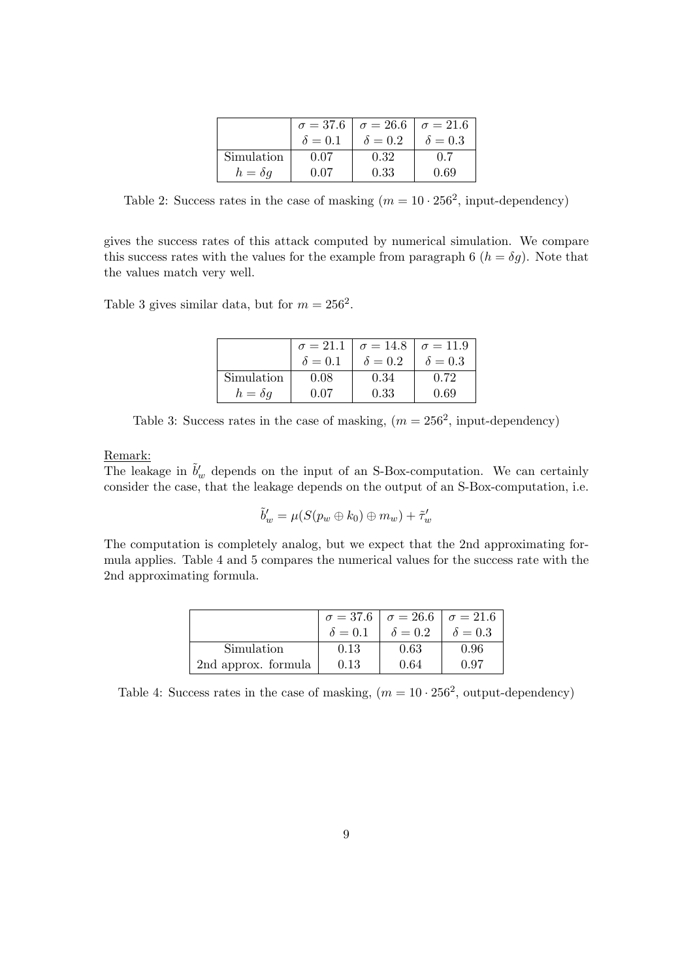|                | $\sigma = 37.6$ | $\sigma = 26.6$   $\sigma = 21.6$ |                |
|----------------|-----------------|-----------------------------------|----------------|
|                | $\delta = 0.1$  | $\delta = 0.2$                    | $\delta = 0.3$ |
| Simulation     | 0.07            | 0.32                              | 0.7            |
| $h = \delta q$ | 0 07            | 0.33                              | 0.69           |

Table 2: Success rates in the case of masking  $(m = 10 \cdot 256^2, \text{ input-dependent})$ 

gives the success rates of this attack computed by numerical simulation. We compare this success rates with the values for the example from paragraph 6  $(h = \delta g)$ . Note that the values match very well.

Table 3 gives similar data, but for  $m = 256^2$ .

|                | $\sigma = 21.1$ | $\sigma = 14.8$   $\sigma = 11.9$ |                |
|----------------|-----------------|-----------------------------------|----------------|
|                | $\delta = 0.1$  | $\delta = 0.2$                    | $\delta = 0.3$ |
| Simulation     | 0.08            | 0.34                              | 0.72           |
| $h = \delta q$ | 0.07            | 0.33                              | 0.69           |

Table 3: Success rates in the case of masking,  $(m = 256^2, \text{ input-dependent})$ 

Remark:

The leakage in  $\tilde{b}'_w$  depends on the input of an S-Box-computation. We can certainly consider the case, that the leakage depends on the output of an S-Box-computation, i.e.

$$
\tilde{b}'_w = \mu(S(p_w \oplus k_0) \oplus m_w) + \tilde{\tau}'_w
$$

The computation is completely analog, but we expect that the 2nd approximating formula applies. Table 4 and 5 compares the numerical values for the success rate with the 2nd approximating formula.

|                     |                | $\sigma = 37.6$   $\sigma = 26.6$   $\sigma = 21.6$ |                |
|---------------------|----------------|-----------------------------------------------------|----------------|
|                     | $\delta = 0.1$ | $\delta = 0.2$                                      | $\delta = 0.3$ |
| Simulation          | 0.13           | 0.63                                                | 0.96           |
| 2nd approx. formula | 0.13           | 0.64                                                | 0.97           |

Table 4: Success rates in the case of masking,  $(m = 10 \cdot 256^2,$  output-dependency)